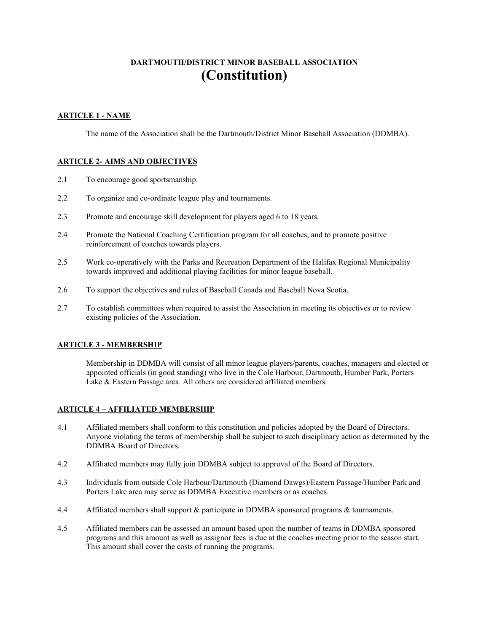# **DARTMOUTH/DISTRICT MINOR BASEBALL ASSOCIATION (Constitution)**

# **ARTICLE 1 - NAME**

The name of the Association shall be the Dartmouth/District Minor Baseball Association (DDMBA).

# **ARTICLE 2- AIMS AND OBJECTIVES**

- 2.1 To encourage good sportsmanship.
- 2.2 To organize and co-ordinate league play and tournaments.
- 2.3 Promote and encourage skill development for players aged 6 to 18 years.
- 2.4 Promote the National Coaching Certification program for all coaches, and to promote positive reinforcement of coaches towards players.
- 2.5 Work co-operatively with the Parks and Recreation Department of the Halifax Regional Municipality towards improved and additional playing facilities for minor league baseball.
- 2.6 To support the objectives and rules of Baseball Canada and Baseball Nova Scotia.
- 2.7 To establish committees when required to assist the Association in meeting its objectives or to review existing policies of the Association.

# **ARTICLE 3 - MEMBERSHIP**

Membership in DDMBA will consist of all minor league players/parents, coaches, managers and elected or appointed officials (in good standing) who live in the Cole Harbour, Dartmouth, Humber Park, Porters Lake & Eastern Passage area. All others are considered affiliated members.

# **ARTICLE 4 – AFFILIATED MEMBERSHIP**

- 4.1 Affiliated members shall conform to this constitution and policies adopted by the Board of Directors. Anyone violating the terms of membership shall be subject to such disciplinary action as determined by the DDMBA Board of Directors.
- 4.2 Affiliated members may fully join DDMBA subject to approval of the Board of Directors.
- 4.3 Individuals from outside Cole Harbour/Dartmouth (Diamond Dawgs)/Eastern Passage/Humber Park and Porters Lake area may serve as DDMBA Executive members or as coaches.
- 4.4 Affiliated members shall support & participate in DDMBA sponsored programs & tournaments.
- 4.5 Affiliated members can be assessed an amount based upon the number of teams in DDMBA sponsored programs and this amount as well as assignor fees is due at the coaches meeting prior to the season start. This amount shall cover the costs of running the programs.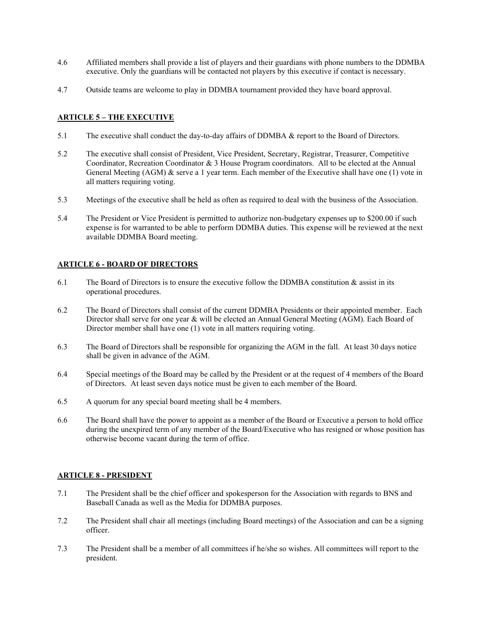- 4.6 Affiliated members shall provide a list of players and their guardians with phone numbers to the DDMBA executive. Only the guardians will be contacted not players by this executive if contact is necessary.
- 4.7 Outside teams are welcome to play in DDMBA tournament provided they have board approval.

# **ARTICLE 5 – THE EXECUTIVE**

- 5.1 The executive shall conduct the day-to-day affairs of DDMBA & report to the Board of Directors.
- 5.2 The executive shall consist of President, Vice President, Secretary, Registrar, Treasurer, Competitive Coordinator, Recreation Coordinator & 3 House Program coordinators. All to be elected at the Annual General Meeting (AGM) & serve a 1 year term. Each member of the Executive shall have one (1) vote in all matters requiring voting.
- 5.3 Meetings of the executive shall be held as often as required to deal with the business of the Association.
- 5.4 The President or Vice President is permitted to authorize non-budgetary expenses up to \$200.00 if such expense is for warranted to be able to perform DDMBA duties. This expense will be reviewed at the next available DDMBA Board meeting.

# **ARTICLE 6 - BOARD OF DIRECTORS**

- 6.1 The Board of Directors is to ensure the executive follow the DDMBA constitution & assist in its operational procedures.
- 6.2 The Board of Directors shall consist of the current DDMBA Presidents or their appointed member. Each Director shall serve for one year & will be elected an Annual General Meeting (AGM). Each Board of Director member shall have one (1) vote in all matters requiring voting.
- 6.3 The Board of Directors shall be responsible for organizing the AGM in the fall. At least 30 days notice shall be given in advance of the AGM.
- 6.4 Special meetings of the Board may be called by the President or at the request of 4 members of the Board of Directors. At least seven days notice must be given to each member of the Board.
- 6.5 A quorum for any special board meeting shall be 4 members.
- 6.6 The Board shall have the power to appoint as a member of the Board or Executive a person to hold office during the unexpired term of any member of the Board/Executive who has resigned or whose position has otherwise become vacant during the term of office.

#### **ARTICLE 8 - PRESIDENT**

- 7.1 The President shall be the chief officer and spokesperson for the Association with regards to BNS and Baseball Canada as well as the Media for DDMBA purposes.
- 7.2 The President shall chair all meetings (including Board meetings) of the Association and can be a signing officer.
- 7.3 The President shall be a member of all committees if he/she so wishes. All committees will report to the president.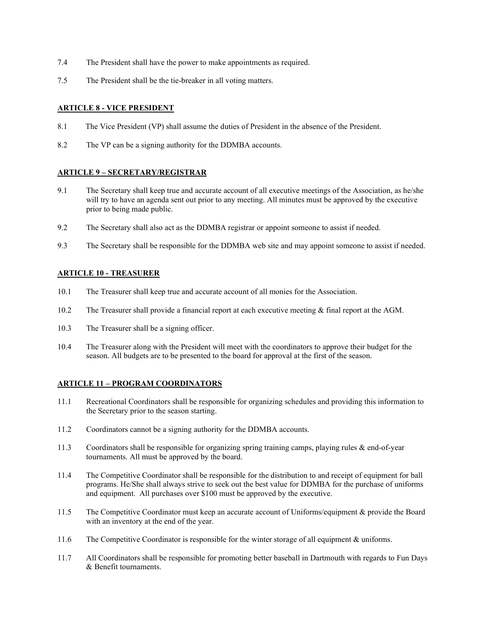- 7.4 The President shall have the power to make appointments as required.
- 7.5 The President shall be the tie-breaker in all voting matters.

# **ARTICLE 8 - VICE PRESIDENT**

- 8.1 The Vice President (VP) shall assume the duties of President in the absence of the President.
- 8.2 The VP can be a signing authority for the DDMBA accounts.

# **ARTICLE 9 – SECRETARY/REGISTRAR**

- 9.1 The Secretary shall keep true and accurate account of all executive meetings of the Association, as he/she will try to have an agenda sent out prior to any meeting. All minutes must be approved by the executive prior to being made public.
- 9.2 The Secretary shall also act as the DDMBA registrar or appoint someone to assist if needed.
- 9.3 The Secretary shall be responsible for the DDMBA web site and may appoint someone to assist if needed.

# **ARTICLE 10 - TREASURER**

- 10.1 The Treasurer shall keep true and accurate account of all monies for the Association.
- 10.2 The Treasurer shall provide a financial report at each executive meeting & final report at the AGM.
- 10.3 The Treasurer shall be a signing officer.
- 10.4 The Treasurer along with the President will meet with the coordinators to approve their budget for the season. All budgets are to be presented to the board for approval at the first of the season.

# **ARTICLE 11 – PROGRAM COORDINATORS**

- 11.1 Recreational Coordinators shall be responsible for organizing schedules and providing this information to the Secretary prior to the season starting.
- 11.2 Coordinators cannot be a signing authority for the DDMBA accounts.
- 11.3 Coordinators shall be responsible for organizing spring training camps, playing rules & end-of-year tournaments. All must be approved by the board.
- 11.4 The Competitive Coordinator shall be responsible for the distribution to and receipt of equipment for ball programs. He/She shall always strive to seek out the best value for DDMBA for the purchase of uniforms and equipment. All purchases over \$100 must be approved by the executive.
- 11.5 The Competitive Coordinator must keep an accurate account of Uniforms/equipment & provide the Board with an inventory at the end of the year.
- 11.6 The Competitive Coordinator is responsible for the winter storage of all equipment & uniforms.
- 11.7 All Coordinators shall be responsible for promoting better baseball in Dartmouth with regards to Fun Days & Benefit tournaments.